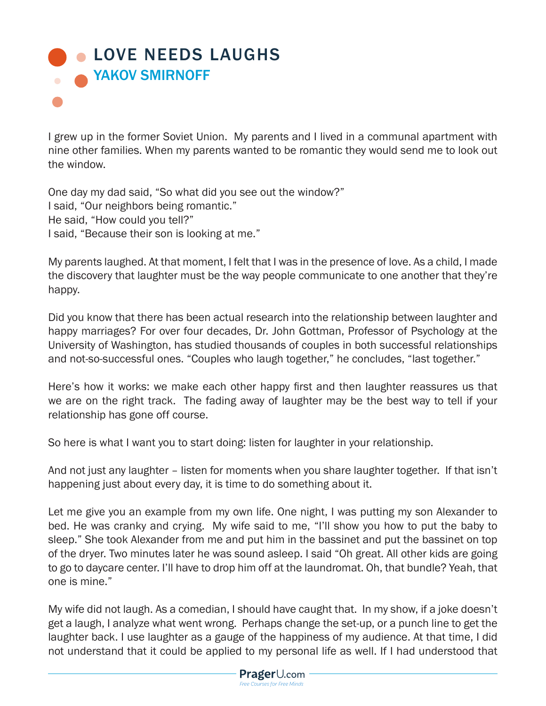## **[LOVE NEEDS LAUGHS](https://www.prageru.com/courses/life-studies/love-needs-laughs) NAKOV SMIRNOFF**

I grew up in the former Soviet Union. My parents and I lived in a communal apartment with nine other families. When my parents wanted to be romantic they would send me to look out the window.

One day my dad said, "So what did you see out the window?" I said, "Our neighbors being romantic." He said, "How could you tell?" I said, "Because their son is looking at me."

My parents laughed. At that moment, I felt that I was in the presence of love. As a child, I made the discovery that laughter must be the way people communicate to one another that they're happy.

Did you know that there has been actual research into the relationship between laughter and happy marriages? For over four decades, Dr. John Gottman, Professor of Psychology at the University of Washington, has studied thousands of couples in both successful relationships and not-so-successful ones. "Couples who laugh together," he concludes, "last together."

Here's how it works: we make each other happy first and then laughter reassures us that we are on the right track. The fading away of laughter may be the best way to tell if your relationship has gone off course.

So here is what I want you to start doing: listen for laughter in your relationship.

And not just any laughter – listen for moments when you share laughter together. If that isn't happening just about every day, it is time to do something about it.

Let me give you an example from my own life. One night, I was putting my son Alexander to bed. He was cranky and crying. My wife said to me, "I'll show you how to put the baby to sleep." She took Alexander from me and put him in the bassinet and put the bassinet on top of the dryer. Two minutes later he was sound asleep. I said "Oh great. All other kids are going to go to daycare center. I'll have to drop him off at the laundromat. Oh, that bundle? Yeah, that one is mine."

My wife did not laugh. As a comedian, I should have caught that. In my show, if a joke doesn't get a laugh, I analyze what went wrong. Perhaps change the set-up, or a punch line to get the laughter back. I use laughter as a gauge of the happiness of my audience. At that time, I did not understand that it could be applied to my personal life as well. If I had understood that